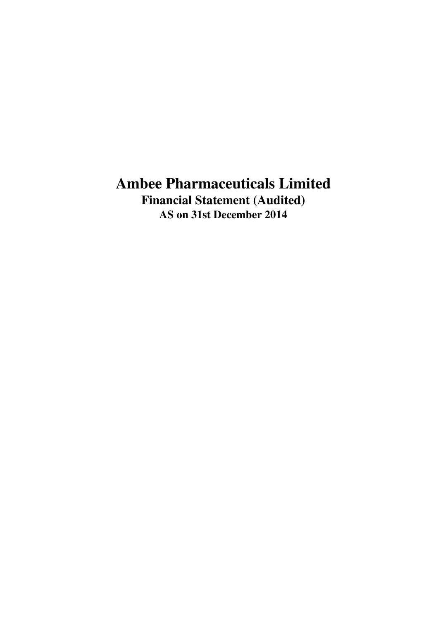## **Ambee Pharmaceuticals Limited Financial Statement (Audited) AS on 31st December 2014**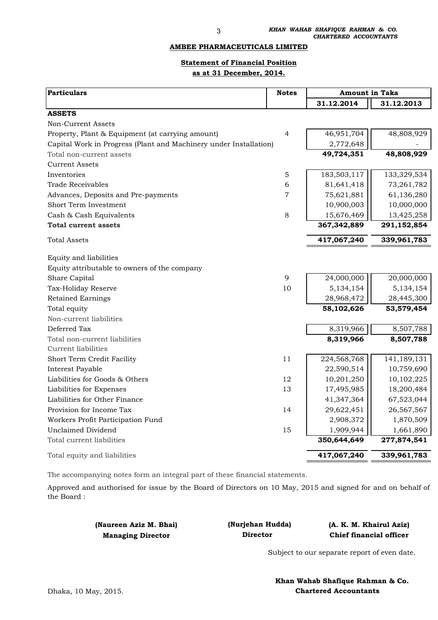#### **AMBEE PHARMACEUTICALS LIMITED**

### **Statement of Financial Position as at 31 December, 2014.**

| <b>Particulars</b>                                                | <b>Notes</b> | <b>Amount in Taka</b> |              |  |
|-------------------------------------------------------------------|--------------|-----------------------|--------------|--|
|                                                                   |              | 31.12.2014            | 31.12.2013   |  |
| <b>ASSETS</b>                                                     |              |                       |              |  |
| Non-Current Assets                                                |              |                       |              |  |
| Property, Plant & Equipment (at carrying amount)                  | 4            | 46,951,704            | 48,808,929   |  |
| Capital Work in Progress (Plant and Machinery under Installation) |              | 2,772,648             |              |  |
| Total non-current assets                                          |              | 49,724,351            | 48,808,929   |  |
| <b>Current Assets</b>                                             |              |                       |              |  |
| Inventories                                                       | 5            | 183,503,117           | 133,329,534  |  |
| <b>Trade Receivables</b>                                          | 6            | 81,641,418            | 73, 261, 782 |  |
| Advances, Deposits and Pre-payments                               | 7            | 75,621,881            | 61,136,280   |  |
| Short Term Investment                                             |              | 10,900,003            | 10,000,000   |  |
| Cash & Cash Equivalents                                           | 8            | 15,676,469            | 13,425,258   |  |
| <b>Total current assets</b>                                       |              | 367, 342, 889         | 291,152,854  |  |
| <b>Total Assets</b>                                               |              | 417,067,240           | 339,961,783  |  |
| Equity and liabilities                                            |              |                       |              |  |
| Equity attributable to owners of the company                      |              |                       |              |  |
| Share Capital                                                     | 9            | 24,000,000            | 20,000,000   |  |
| Tax-Holiday Reserve                                               | 10           | 5,134,154             | 5,134,154    |  |
| <b>Retained Earnings</b>                                          |              | 28,968,472            | 28,445,300   |  |
| Total equity                                                      |              | 58,102,626            | 53,579,454   |  |
| Non-current liabilities                                           |              |                       |              |  |
| Deferred Tax                                                      |              | 8,319,966             | 8,507,788    |  |
| Total non-current liabilities                                     |              | 8,319,966             | 8,507,788    |  |
| <b>Current liabilities</b>                                        |              |                       |              |  |
| Short Term Credit Facility                                        | 11           | 224,568,768           | 141,189,131  |  |
| Interest Payable                                                  |              | 22,590,514            | 10,759,690   |  |
| Liabilities for Goods & Others                                    | 12           | 10,201,250            | 10,102,225   |  |
| Liabilities for Expenses                                          | 13           | 17,495,985            | 18,200,484   |  |
| Liabilities for Other Finance                                     |              | 41,347,364            | 67,523,044   |  |
| Provision for Income Tax                                          | 14           | 29,622,451            | 26,567,567   |  |
| Workers Profit Participation Fund                                 |              | 2,908,372             | 1,870,509    |  |
| <b>Unclaimed Dividend</b>                                         | 15           | 1,909,944             | 1,661,890    |  |
| Total current liabilities                                         |              | 350,644,649           | 277,874,541  |  |
| Total equity and liabilities                                      |              | 417,067,240           | 339,961,783  |  |

The accompanying notes form an integral part of these financial statements.

Approved and authorised for issue by the Board of Directors on 10 May, 2015 and signed for and on behalf of the Board :

> **(Naureen Aziz M. Bhai) Managing Director**

**(Nurjehan Hudda) (A. K. M. Khairul Aziz) Director Chief financial officer**

Subject to our separate report of even date.

 **Khan Wahab Shafique Rahman & Co.** Dhaka, 10 May, 2015. **Chartered Accountants**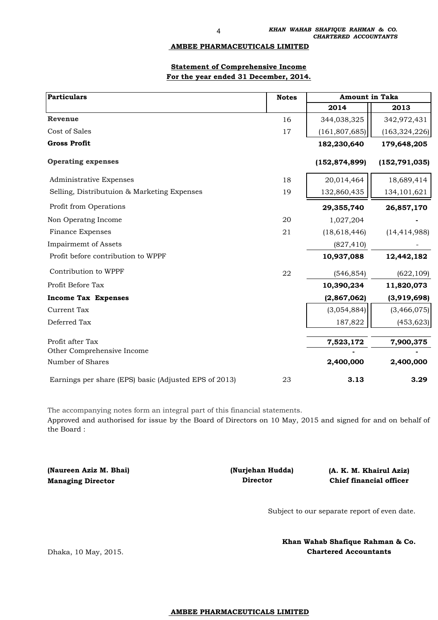#### **AMBEE PHARMACEUTICALS LIMITED**

#### **Statement of Comprehensive Income For the year ended 31 December, 2014.**

| <b>Particulars</b>                                    | <b>Notes</b> | Amount in Taka  |                 |  |  |
|-------------------------------------------------------|--------------|-----------------|-----------------|--|--|
|                                                       |              | 2014            | 2013            |  |  |
| <b>Revenue</b>                                        | 16           | 344,038,325     | 342,972,431     |  |  |
| Cost of Sales                                         | 17           | (161, 807, 685) | (163, 324, 226) |  |  |
| <b>Gross Profit</b>                                   |              | 182,230,640     | 179,648,205     |  |  |
| <b>Operating expenses</b>                             |              | (152, 874, 899) | (152, 791, 035) |  |  |
| <b>Administrative Expenses</b>                        | 18           | 20,014,464      | 18,689,414      |  |  |
| Selling, Distributuion & Marketing Expenses           | 19           | 132,860,435     | 134, 101, 621   |  |  |
| Profit from Operations                                |              | 29,355,740      | 26,857,170      |  |  |
| Non Operatng Income                                   | 20           | 1,027,204       |                 |  |  |
| <b>Finance Expenses</b>                               | 21           | (18, 618, 446)  | (14, 414, 988)  |  |  |
| <b>Impairmemt</b> of Assets                           |              | (827, 410)      |                 |  |  |
| Profit before contribution to WPPF                    |              | 10,937,088      | 12,442,182      |  |  |
| Contribution to WPPF                                  | 22           | (546, 854)      | (622, 109)      |  |  |
| Profit Before Tax                                     |              | 10,390,234      | 11,820,073      |  |  |
| <b>Income Tax Expenses</b>                            |              | (2,867,062)     | (3,919,698)     |  |  |
| Current Tax                                           |              | (3,054,884)     | (3,466,075)     |  |  |
| Deferred Tax                                          |              | 187,822         | (453, 623)      |  |  |
| Profit after Tax                                      |              | 7,523,172       | 7,900,375       |  |  |
| Other Comprehensive Income<br>Number of Shares        |              | 2,400,000       | 2,400,000       |  |  |
| Earnings per share (EPS) basic (Adjusted EPS of 2013) | 23           | 3.13            | 3.29            |  |  |

The accompanying notes form an integral part of this financial statements.

Approved and authorised for issue by the Board of Directors on 10 May, 2015 and signed for and on behalf of the Board :

**(Naureen Aziz M. Bhai) Managing Director** 

 **Director (Nurjehan Hudda)** **(A. K. M. Khairul Aziz) Chief financial officer**

Subject to our separate report of even date.

**Khan Wahab Shafique Rahman & Co. Chartered Accountants**

#### **AMBEE PHARMACEUTICALS LIMITED**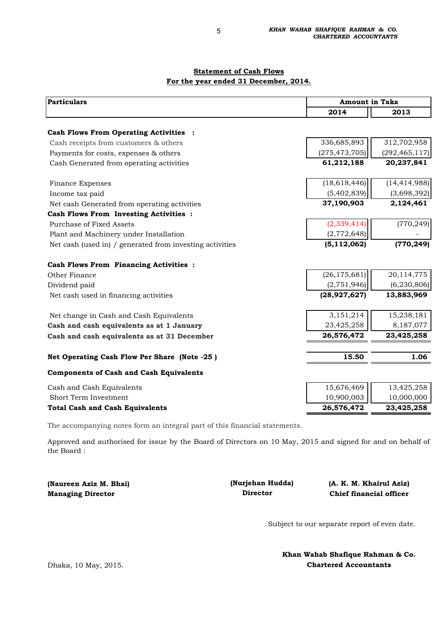### **Statement of Cash Flows For the year ended 31 December, 2014.**

| <b>Particulars</b>                                       |                 | <b>Amount in Taka</b> |  |  |  |
|----------------------------------------------------------|-----------------|-----------------------|--|--|--|
|                                                          | 2014            | 2013                  |  |  |  |
| <b>Cash Flows From Operating Activities :</b>            |                 |                       |  |  |  |
| Cash receipts from customers & others                    | 336,685,893     | 312,702,958           |  |  |  |
| Payments for costs, expenses & others                    | (275, 473, 705) | (292, 465, 117)       |  |  |  |
| Cash Generated from operating activities                 | 61,212,188      | 20,237,841            |  |  |  |
|                                                          |                 |                       |  |  |  |
| <b>Finance Expenses</b>                                  | (18, 618, 446)  | (14, 414, 988)        |  |  |  |
| Income tax paid                                          | (5,402,839)     | (3,698,392)           |  |  |  |
| Net cash Generated from operating activities             | 37,190,903      | 2,124,461             |  |  |  |
| Cash Flows From Investing Activities :                   |                 |                       |  |  |  |
| <b>Purchase of Fixed Assets</b>                          | (2, 339, 414)   | (770, 249)            |  |  |  |
| Plant and Machinery under Installation                   | (2,772,648)     |                       |  |  |  |
| Net cash (used in) / generated from investing activities | (5, 112, 062)   | (770, 249)            |  |  |  |
| <b>Cash Flows From Financing Activities :</b>            |                 |                       |  |  |  |
| Other Finance                                            | (26, 175, 681)  | 20,114,775            |  |  |  |
| Dividend paid                                            | (2,751,946)     | (6, 230, 806)         |  |  |  |
| Net cash used in financing activities                    | (28, 927, 627)  | 13,883,969            |  |  |  |
| Net change in Cash and Cash Equivalents                  | 3,151,214       | 15,238,181            |  |  |  |
| Cash and cash equivalents as at 1 January                | 23,425,258      | 8,187,077             |  |  |  |
| Cash and cash equivalents as at 31 December              | 26,576,472      | 23,425,258            |  |  |  |
|                                                          |                 |                       |  |  |  |
| Net Operating Cash Flow Per Share (Note -25)             | 15.50           | 1.06                  |  |  |  |
| <b>Components of Cash and Cash Equivalents</b>           |                 |                       |  |  |  |
| Cash and Cash Equivalents                                | 15,676,469      | 13,425,258            |  |  |  |
| Short Term Investment                                    | 10,900,003      | 10,000,000            |  |  |  |
| <b>Total Cash and Cash Equivalents</b>                   | 26,576,472      | 23,425,258            |  |  |  |

The accompanying notes form an integral part of this financial statements.

Approved and authorised for issue by the Board of Directors on 10 May, 2015 and signed for and on behalf of the Board :

| (Naureen Aziz M. Bhai)   | (Nurjehan Hudda) | (A. K. M. Khairul Aziz)        |
|--------------------------|------------------|--------------------------------|
| <b>Managing Director</b> | Director         | <b>Chief financial officer</b> |

Subject to our separate report of even date.

**Khan Wahab Shafique Rahman & Co. Chartered Accountants**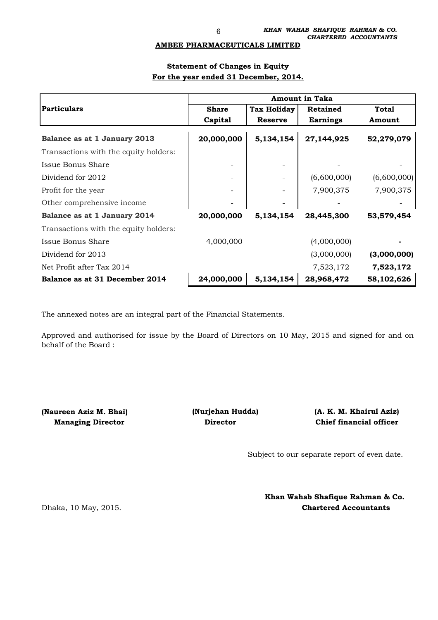#### **AMBEE PHARMACEUTICALS LIMITED**

### **Statement of Changes in Equity For the year ended 31 December, 2014.**

|                                       | <b>Amount in Taka</b> |                    |                 |              |  |  |  |
|---------------------------------------|-----------------------|--------------------|-----------------|--------------|--|--|--|
| <b>Particulars</b>                    | <b>Share</b>          | <b>Tax Holiday</b> | <b>Retained</b> | <b>Total</b> |  |  |  |
|                                       | Capital               | <b>Reserve</b>     | <b>Earnings</b> | Amount       |  |  |  |
| Balance as at 1 January 2013          | 20,000,000            | 5,134,154          | 27,144,925      | 52,279,079   |  |  |  |
| Transactions with the equity holders: |                       |                    |                 |              |  |  |  |
| Issue Bonus Share                     |                       |                    |                 |              |  |  |  |
| Dividend for 2012                     |                       |                    | (6,600,000)     | (6,600,000)  |  |  |  |
| Profit for the year                   |                       |                    | 7,900,375       | 7,900,375    |  |  |  |
| Other comprehensive income            |                       |                    |                 |              |  |  |  |
| Balance as at 1 January 2014          | 20,000,000            | 5,134,154          | 28,445,300      | 53,579,454   |  |  |  |
| Transactions with the equity holders: |                       |                    |                 |              |  |  |  |
| Issue Bonus Share                     | 4,000,000             |                    | (4,000,000)     |              |  |  |  |
| Dividend for 2013                     |                       |                    | (3,000,000)     | (3,000,000)  |  |  |  |
| Net Profit after Tax 2014             |                       |                    | 7,523,172       | 7,523,172    |  |  |  |
| Balance as at 31 December 2014        | 24,000,000            | 5,134,154          | 28,968,472      | 58,102,626   |  |  |  |

The annexed notes are an integral part of the Financial Statements.

Approved and authorised for issue by the Board of Directors on 10 May, 2015 and signed for and on behalf of the Board :

**(Naureen Aziz M. Bhai) (Nurjehan Hudda) Managing Director Construction Director** 

**Chief financial officer (A. K. M. Khairul Aziz)**

Subject to our separate report of even date.

Dhaka, 10 May, 2015. **Chartered Accountants Khan Wahab Shafique Rahman & Co.**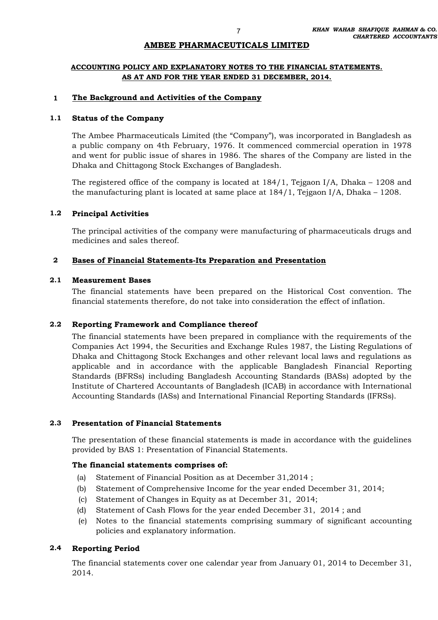### **AMBEE PHARMACEUTICALS LIMITED**

### **ACCOUNTING POLICY AND EXPLANATORY NOTES TO THE FINANCIAL STATEMENTS. AS AT AND FOR THE YEAR ENDED 31 DECEMBER, 2014.**

#### **1 The Background and Activities of the Company**

#### **1.1 Status of the Company**

The Ambee Pharmaceuticals Limited (the "Company"), was incorporated in Bangladesh as a public company on 4th February, 1976. It commenced commercial operation in 1978 and went for public issue of shares in 1986. The shares of the Company are listed in the Dhaka and Chittagong Stock Exchanges of Bangladesh.

The registered office of the company is located at 184/1, Tejgaon I/A, Dhaka – 1208 and the manufacturing plant is located at same place at 184/1, Tejgaon I/A, Dhaka – 1208.

#### **1.2 Principal Activities**

The principal activities of the company were manufacturing of pharmaceuticals drugs and medicines and sales thereof.

#### **2 Bases of Financial Statements-Its Preparation and Presentation**

#### **2.1 Measurement Bases**

The financial statements have been prepared on the Historical Cost convention. The financial statements therefore, do not take into consideration the effect of inflation.

#### **2.2 Reporting Framework and Compliance thereof**

The financial statements have been prepared in compliance with the requirements of the Companies Act 1994, the Securities and Exchange Rules 1987, the Listing Regulations of Dhaka and Chittagong Stock Exchanges and other relevant local laws and regulations as applicable and in accordance with the applicable Bangladesh Financial Reporting Standards (BFRSs) including Bangladesh Accounting Standards (BASs) adopted by the Institute of Chartered Accountants of Bangladesh (ICAB) in accordance with International Accounting Standards (IASs) and International Financial Reporting Standards (IFRSs).

#### **2.3 Presentation of Financial Statements**

The presentation of these financial statements is made in accordance with the guidelines provided by BAS 1: Presentation of Financial Statements.

#### **The financial statements comprises of:**

- (a) Statement of Financial Position as at December 31,2014 ;
- (b) Statement of Comprehensive Income for the year ended December 31, 2014;
- (c) Statement of Changes in Equity as at December 31, 2014;
- (d) Statement of Cash Flows for the year ended December 31, 2014 ; and
- (e) Notes to the financial statements comprising summary of significant accounting policies and explanatory information.

#### **2.4 Reporting Period**

The financial statements cover one calendar year from January 01, 2014 to December 31, 2014.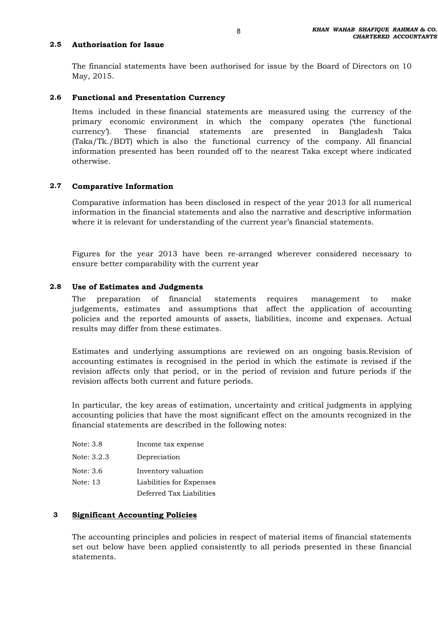#### **2.5 Authorisation for Issue**

The financial statements have been authorised for issue by the Board of Directors on 10 May, 2015.

#### **2.6 Functional and Presentation Currency**

Items included in these financial statements are measured using the currency of the primary economic environment in which the company operates ('the functional currency'). These financial statements are presented in Bangladesh Taka (Taka/Tk./BDT) which is also the functional currency of the company. All financial information presented has been rounded off to the nearest Taka except where indicated otherwise.

#### **2.7 Comparative Information**

Comparative information has been disclosed in respect of the year 2013 for all numerical information in the financial statements and also the narrative and descriptive information where it is relevant for understanding of the current year's financial statements.

Figures for the year 2013 have been re-arranged wherever considered necessary to ensure better comparability with the current year

#### **2.8 Use of Estimates and Judgments**

The preparation of financial statements requires management to make judgements, estimates and assumptions that affect the application of accounting policies and the reported amounts of assets, liabilities, income and expenses. Actual results may differ from these estimates.

Estimates and underlying assumptions are reviewed on an ongoing basis.Revision of accounting estimates is recognised in the period in which the estimate is revised if the revision affects only that period, or in the period of revision and future periods if the revision affects both current and future periods.

In particular, the key areas of estimation, uncertainty and critical judgments in applying accounting policies that have the most significant effect on the amounts recognized in the financial statements are described in the following notes:

| Note: 3.8   | Income tax expense       |
|-------------|--------------------------|
| Note: 3.2.3 | Depreciation             |
| Note: 3.6   | Inventory valuation      |
| Note: 13    | Liabilities for Expenses |
|             | Deferred Tax Liabilities |

### **3 Significant Accounting Policies**

The accounting principles and policies in respect of material items of financial statements set out below have been applied consistently to all periods presented in these financial statements.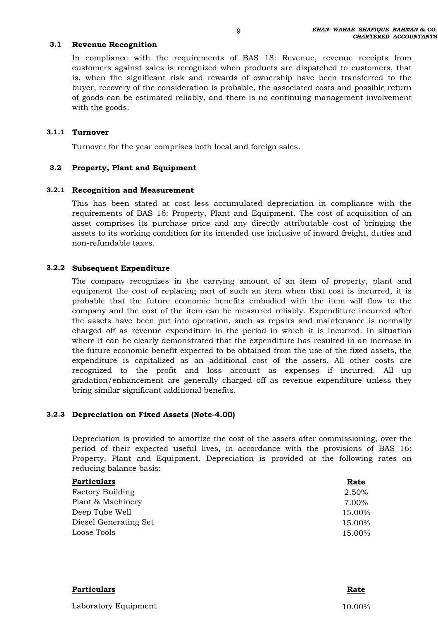#### **3.1 Revenue Recognition**

In compliance with the requirements of BAS 18: Revenue, revenue receipts from customers against sales is recognized when products are dispatched to customers, that is, when the significant risk and rewards of ownership have been transferred to the buyer, recovery of the consideration is probable, the associated costs and possible return of goods can be estimated reliably, and there is no continuing management involvement with the goods.

### **3.1.1 Turnover**

Turnover for the year comprises both local and foreign sales.

#### **3.2 Property, Plant and Equipment**

### **3.2.1 Recognition and Measurement**

This has been stated at cost less accumulated depreciation in compliance with the requirements of BAS 16: Property, Plant and Equipment. The cost of acquisition of an asset comprises its purchase price and any directly attributable cost of bringing the assets to its working condition for its intended use inclusive of inward freight, duties and non-refundable taxes.

### **3.2.2 Subsequent Expenditure**

The company recognizes in the carrying amount of an item of property, plant and equipment the cost of replacing part of such an item when that cost is incurred, it is probable that the future economic benefits embodied with the item will flow to the company and the cost of the item can be measured reliably. Expenditure incurred after the assets have been put into operation, such as repairs and maintenance is normally charged off as revenue expenditure in the period in which it is incurred. In situation where it can be clearly demonstrated that the expenditure has resulted in an increase in the future economic benefit expected to be obtained from the use of the fixed assets, the expenditure is capitalized as an additional cost of the assets. All other costs are recognized to the profit and loss account as expenses if incurred. All up gradation/enhancement are generally charged off as revenue expenditure unless they bring similar significant additional benefits.

### **3.2.3 Depreciation on Fixed Assets (Note-4.00)**

Depreciation is provided to amortize the cost of the assets after commissioning, over the period of their expected useful lives, in accordance with the provisions of BAS 16: Property, Plant and Equipment. Depreciation is provided at the following rates on reducing balance basis:

| <b>Particulars</b>      | Rate   |
|-------------------------|--------|
| <b>Factory Building</b> | 2.50%  |
| Plant & Machinery       | 7.00%  |
| Deep Tube Well          | 15.00% |
| Diesel Generating Set   | 15.00% |
| Loose Tools             | 15.00% |

| <b>Particulars</b>   | Rate   |
|----------------------|--------|
| Laboratory Equipment | 10.00% |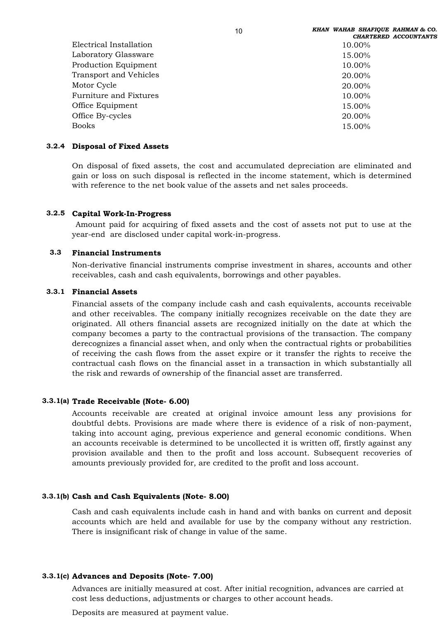|                               | <b>CHARTERED ACCOUNTANTS</b> |
|-------------------------------|------------------------------|
| Electrical Installation       | 10.00%                       |
| Laboratory Glassware          | 15.00%                       |
| Production Equipment          | 10.00%                       |
| <b>Transport and Vehicles</b> | 20.00%                       |
| Motor Cycle                   | 20.00%                       |
| Furniture and Fixtures        | 10.00%                       |
| Office Equipment              | 15.00%                       |
| Office By-cycles              | 20.00%                       |
| <b>Books</b>                  | 15.00%                       |
|                               |                              |

#### **3.2.4 Disposal of Fixed Assets**

On disposal of fixed assets, the cost and accumulated depreciation are eliminated and gain or loss on such disposal is reflected in the income statement, which is determined with reference to the net book value of the assets and net sales proceeds.

### **3.2.5 Capital Work-In-Progress**

Amount paid for acquiring of fixed assets and the cost of assets not put to use at the year-end are disclosed under capital work-in-progress.

#### **3.3 Financial Instruments**

Non-derivative financial instruments comprise investment in shares, accounts and other receivables, cash and cash equivalents, borrowings and other payables.

#### **3.3.1 Financial Assets**

Financial assets of the company include cash and cash equivalents, accounts receivable and other receivables. The company initially recognizes receivable on the date they are originated. All others financial assets are recognized initially on the date at which the company becomes a party to the contractual provisions of the transaction. The company derecognizes a financial asset when, and only when the contractual rights or probabilities of receiving the cash flows from the asset expire or it transfer the rights to receive the contractual cash flows on the financial asset in a transaction in which substantially all the risk and rewards of ownership of the financial asset are transferred.

#### **3.3.1(a) Trade Receivable (Note- 6.00)**

Accounts receivable are created at original invoice amount less any provisions for doubtful debts. Provisions are made where there is evidence of a risk of non-payment, taking into account aging, previous experience and general economic conditions. When an accounts receivable is determined to be uncollected it is written off, firstly against any provision available and then to the profit and loss account. Subsequent recoveries of amounts previously provided for, are credited to the profit and loss account.

### **3.3.1(b) Cash and Cash Equivalents (Note- 8.00)**

Cash and cash equivalents include cash in hand and with banks on current and deposit accounts which are held and available for use by the company without any restriction. There is insignificant risk of change in value of the same.

#### **3.3.1(c) Advances and Deposits (Note- 7.00)**

Advances are initially measured at cost. After initial recognition, advances are carried at cost less deductions, adjustments or charges to other account heads.

Deposits are measured at payment value.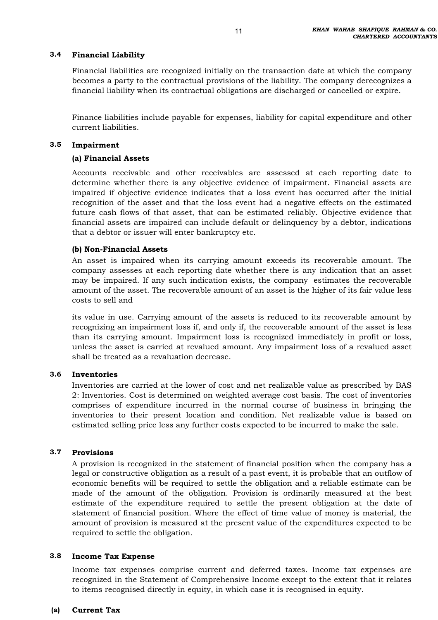#### **3.4 Financial Liability**

Financial liabilities are recognized initially on the transaction date at which the company becomes a party to the contractual provisions of the liability. The company derecognizes a financial liability when its contractual obligations are discharged or cancelled or expire.

Finance liabilities include payable for expenses, liability for capital expenditure and other current liabilities.

#### **3.5 Impairment**

### **(a) Financial Assets**

Accounts receivable and other receivables are assessed at each reporting date to determine whether there is any objective evidence of impairment. Financial assets are impaired if objective evidence indicates that a loss event has occurred after the initial recognition of the asset and that the loss event had a negative effects on the estimated future cash flows of that asset, that can be estimated reliably. Objective evidence that financial assets are impaired can include default or delinquency by a debtor, indications that a debtor or issuer will enter bankruptcy etc.

### **(b) Non-Financial Assets**

An asset is impaired when its carrying amount exceeds its recoverable amount. The company assesses at each reporting date whether there is any indication that an asset may be impaired. If any such indication exists, the company estimates the recoverable amount of the asset. The recoverable amount of an asset is the higher of its fair value less costs to sell and

its value in use. Carrying amount of the assets is reduced to its recoverable amount by recognizing an impairment loss if, and only if, the recoverable amount of the asset is less than its carrying amount. Impairment loss is recognized immediately in profit or loss, unless the asset is carried at revalued amount. Any impairment loss of a revalued asset shall be treated as a revaluation decrease.

#### **3.6 Inventories**

Inventories are carried at the lower of cost and net realizable value as prescribed by BAS 2: Inventories. Cost is determined on weighted average cost basis. The cost of inventories comprises of expenditure incurred in the normal course of business in bringing the inventories to their present location and condition. Net realizable value is based on estimated selling price less any further costs expected to be incurred to make the sale.

#### **3.7 Provisions**

A provision is recognized in the statement of financial position when the company has a legal or constructive obligation as a result of a past event, it is probable that an outflow of economic benefits will be required to settle the obligation and a reliable estimate can be made of the amount of the obligation. Provision is ordinarily measured at the best estimate of the expenditure required to settle the present obligation at the date of statement of financial position. Where the effect of time value of money is material, the amount of provision is measured at the present value of the expenditures expected to be required to settle the obligation.

#### **3.8 Income Tax Expense**

Income tax expenses comprise current and deferred taxes. Income tax expenses are recognized in the Statement of Comprehensive Income except to the extent that it relates to items recognised directly in equity, in which case it is recognised in equity.

#### **(a) Current Tax**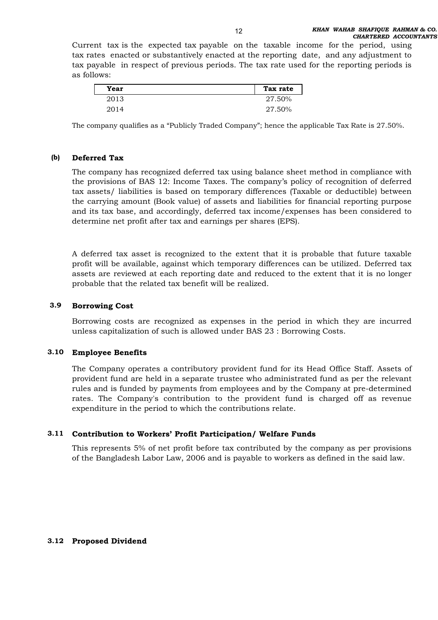Current tax is the expected tax payable on the taxable income for the period, using tax rates enacted or substantively enacted at the reporting date, and any adjustment to tax payable in respect of previous periods. The tax rate used for the reporting periods is as follows:

| Year | Tax rate |
|------|----------|
| 2013 | 27.50%   |
| 2014 | 27.50%   |

The company qualifies as a "Publicly Traded Company"; hence the applicable Tax Rate is 27.50%.

#### **(b) Deferred Tax**

The company has recognized deferred tax using balance sheet method in compliance with the provisions of BAS 12: Income Taxes. The company's policy of recognition of deferred tax assets/ liabilities is based on temporary differences (Taxable or deductible) between the carrying amount (Book value) of assets and liabilities for financial reporting purpose and its tax base, and accordingly, deferred tax income/expenses has been considered to determine net profit after tax and earnings per shares (EPS).

A deferred tax asset is recognized to the extent that it is probable that future taxable profit will be available, against which temporary differences can be utilized. Deferred tax assets are reviewed at each reporting date and reduced to the extent that it is no longer probable that the related tax benefit will be realized.

#### **3.9 Borrowing Cost**

Borrowing costs are recognized as expenses in the period in which they are incurred unless capitalization of such is allowed under BAS 23 : Borrowing Costs.

### **3.10 Employee Benefits**

The Company operates a contributory provident fund for its Head Office Staff. Assets of provident fund are held in a separate trustee who administrated fund as per the relevant rules and is funded by payments from employees and by the Company at pre-determined rates. The Company's contribution to the provident fund is charged off as revenue expenditure in the period to which the contributions relate.

### **3.11 Contribution to Workers' Profit Participation/ Welfare Funds**

This represents 5% of net profit before tax contributed by the company as per provisions of the Bangladesh Labor Law, 2006 and is payable to workers as defined in the said law.

### **3.12 Proposed Dividend**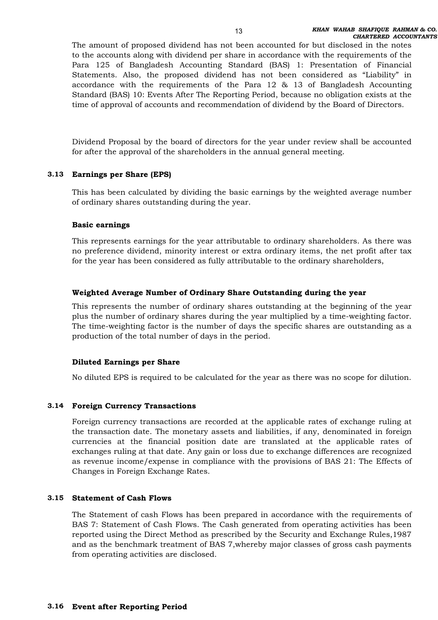The amount of proposed dividend has not been accounted for but disclosed in the notes to the accounts along with dividend per share in accordance with the requirements of the Para 125 of Bangladesh Accounting Standard (BAS) 1: Presentation of Financial Statements. Also, the proposed dividend has not been considered as "Liability" in accordance with the requirements of the Para 12 & 13 of Bangladesh Accounting Standard (BAS) 10: Events After The Reporting Period, because no obligation exists at the time of approval of accounts and recommendation of dividend by the Board of Directors.

Dividend Proposal by the board of directors for the year under review shall be accounted for after the approval of the shareholders in the annual general meeting.

### **3.13 Earnings per Share (EPS)**

This has been calculated by dividing the basic earnings by the weighted average number of ordinary shares outstanding during the year.

### **Basic earnings**

This represents earnings for the year attributable to ordinary shareholders. As there was no preference dividend, minority interest or extra ordinary items, the net profit after tax for the year has been considered as fully attributable to the ordinary shareholders,

### **Weighted Average Number of Ordinary Share Outstanding during the year**

This represents the number of ordinary shares outstanding at the beginning of the year plus the number of ordinary shares during the year multiplied by a time-weighting factor. The time-weighting factor is the number of days the specific shares are outstanding as a production of the total number of days in the period.

### **Diluted Earnings per Share**

No diluted EPS is required to be calculated for the year as there was no scope for dilution.

### **3.14 Foreign Currency Transactions**

Foreign currency transactions are recorded at the applicable rates of exchange ruling at the transaction date. The monetary assets and liabilities, if any, denominated in foreign currencies at the financial position date are translated at the applicable rates of exchanges ruling at that date. Any gain or loss due to exchange differences are recognized as revenue income/expense in compliance with the provisions of BAS 21: The Effects of Changes in Foreign Exchange Rates.

#### **3.15 Statement of Cash Flows**

The Statement of cash Flows has been prepared in accordance with the requirements of BAS 7: Statement of Cash Flows. The Cash generated from operating activities has been reported using the Direct Method as prescribed by the Security and Exchange Rules,1987 and as the benchmark treatment of BAS 7,whereby major classes of gross cash payments from operating activities are disclosed.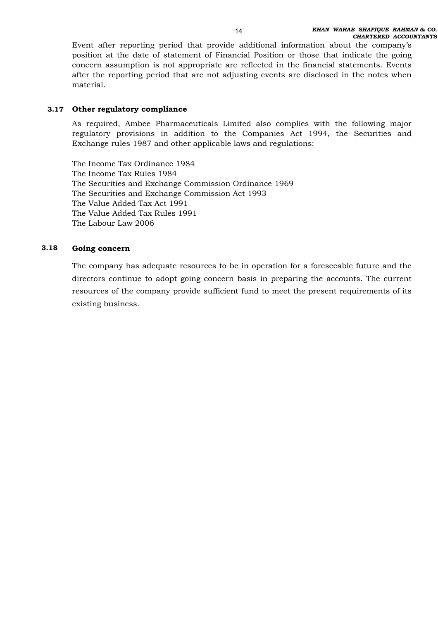Event after reporting period that provide additional information about the company's position at the date of statement of Financial Position or those that indicate the going concern assumption is not appropriate are reflected in the financial statements. Events after the reporting period that are not adjusting events are disclosed in the notes when material.

### **3.17 Other regulatory compliance**

As required, Ambee Pharmaceuticals Limited also complies with the following major regulatory provisions in addition to the Companies Act 1994, the Securities and Exchange rules 1987 and other applicable laws and regulations:

The Income Tax Ordinance 1984 The Income Tax Rules 1984 The Securities and Exchange Commission Ordinance 1969 The Securities and Exchange Commission Act 1993 The Value Added Tax Act 1991 The Value Added Tax Rules 1991 The Labour Law 2006

#### **3.18 Going concern**

The company has adequate resources to be in operation for a foreseeable future and the directors continue to adopt going concern basis in preparing the accounts. The current resources of the company provide sufficient fund to meet the present requirements of its existing business.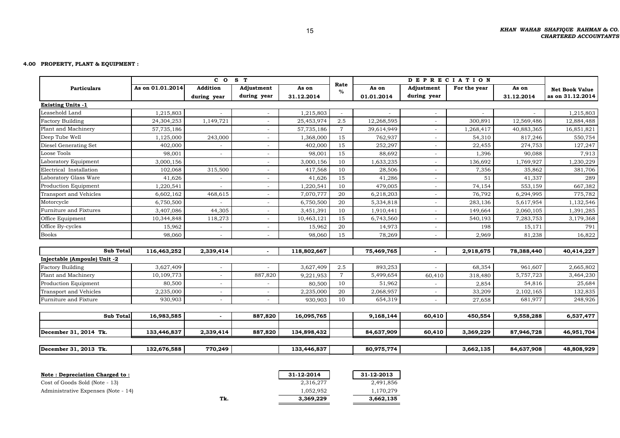#### **4.00 PROPERTY, PLANT & EQUIPMENT :**

|                              |                  | $c \circ$      | S T         |             |                | <b>DEPRECIATION</b> |                          |              |            |                       |
|------------------------------|------------------|----------------|-------------|-------------|----------------|---------------------|--------------------------|--------------|------------|-----------------------|
| <b>Particulars</b>           | As on 01.01.2014 | Addition       | Adjustment  | As on       | Rate<br>$\%$   | As on               | Adjustment               | For the year | As on      | <b>Net Book Value</b> |
|                              |                  | during year    | during year | 31.12.2014  |                | 01.01.2014          | during year              |              | 31.12.2014 | as on 31.12.2014      |
| <b>Existing Units -1</b>     |                  |                |             |             |                |                     |                          |              |            |                       |
| Leasehold Land               | 1,215,803        |                |             | 1,215,803   |                |                     |                          |              |            | 1,215,803             |
| <b>Factory Building</b>      | 24,304,253       | 1,149,721      |             | 25,453,974  | 2.5            | 12,268,595          |                          | 300,891      | 12,569,486 | 12,884,488            |
| Plant and Machinery          | 57,735,186       |                |             | 57,735,186  | $\overline{7}$ | 39,614,949          |                          | 1,268,417    | 40,883,365 | 16,851,821            |
| Deep Tube Well               | 1,125,000        | 243,000        | $\sim$      | 1,368,000   | 15             | 762,937             | $\overline{\phantom{a}}$ | 54,310       | 817,246    | 550,754               |
| Diesel Generating Set        | 402,000          |                |             | 402,000     | 15             | 252,297             |                          | 22,455       | 274,753    | 127,247               |
| Loose Tools                  | 98,001           | $\sim$         |             | 98,001      | 15             | 88,692              |                          | 1,396        | 90,088     | 7,913                 |
| Laboratory Equipment         | 3,000,156        |                | $\sim$      | 3,000,156   | 10             | 1,633,235           |                          | 136,692      | 1,769,927  | 1,230,229             |
| Electrical Installation      | 102,068          | 315,500        |             | 417,568     | 10             | 28,506              |                          | 7,356        | 35,862     | 381,706               |
| Laboratory Glass Ware        | 41,626           |                |             | 41,626      | 15             | 41,286              |                          | 51           | 41,337     | 289                   |
| Production Equipment         | 1,220,541        |                |             | 1,220,541   | 10             | 479,005             |                          | 74,154       | 553,159    | 667,382               |
| Transport and Vehicles       | 6,602,162        | 468,615        |             | 7,070,777   | 20             | 6,218,203           |                          | 76,792       | 6,294,995  | 775,782               |
| Motorcycle                   | 6,750,500        |                |             | 6,750,500   | 20             | 5,334,818           |                          | 283,136      | 5,617,954  | 1,132,546             |
| Furniture and Fixtures       | 3,407,086        | 44,305         |             | 3,451,391   | 10             | 1,910,441           |                          | 149,664      | 2,060,105  | 1,391,285             |
| Office Equipment             | 10,344,848       | 118,273        | $\sim$      | 10,463,121  | 15             | 6,743,560           |                          | 540,193      | 7,283,753  | 3,179,368             |
| Office By-cycles             | 15,962           |                |             | 15,962      | 20             | 14,973              |                          | 198          | 15,171     | 791                   |
| <b>Books</b>                 | 98,060           | $\sim$         |             | 98,060      | 15             | 78,269              |                          | 2,969        | 81,238     | 16,822                |
|                              |                  |                |             |             |                |                     |                          |              |            |                       |
| Sub Total                    | 116,463,252      | 2,339,414      |             | 118,802,667 |                | 75,469,765          |                          | 2,918,675    | 78,388,440 | 40,414,227            |
| Injectable (Ampoule) Unit -2 |                  |                |             |             |                |                     |                          |              |            |                       |
| <b>Factory Building</b>      | 3,627,409        | $\sim$         |             | 3,627,409   | 2.5            | 893,253             |                          | 68,354       | 961,607    | 2,665,802             |
| Plant and Machinery          | 10,109,773       | $\blacksquare$ | 887,820     | 9,221,953   | $\overline{7}$ | 5,499,654           | 60,410                   | 318,480      | 5,757,723  | 3,464,230             |
| Production Equipment         | 80,500           |                |             | 80,500      | 10             | 51,962              |                          | 2,854        | 54,816     | 25,684                |
| Transport and Vehicles       | 2,235,000        | $\sim$         |             | 2,235,000   | 20             | 2,068,957           |                          | 33,209       | 2,102,165  | 132,835               |
| Furniture and Fixture        | 930,903          | $\sim$         |             | 930,903     | 10             | 654,319             |                          | 27,658       | 681,977    | 248,926               |
|                              |                  |                |             |             |                |                     |                          |              |            |                       |
| <b>Sub Total</b>             | 16,983,585       | $\overline{a}$ | 887,820     | 16,095,765  |                | 9,168,144           | 60,410                   | 450,554      | 9,558,288  | 6,537,477             |
| December 31, 2014 Tk.        | 133,446,837      | 2,339,414      | 887,820     | 134,898,432 |                | 84,637,909          | 60,410                   | 3,369,229    | 87,946,728 | 46,951,704            |
|                              |                  |                |             |             |                |                     |                          |              |            |                       |
| December 31, 2013 Tk.        | 132,676,588      | 770,249        |             | 133,446,837 |                | 80,975,774          |                          | 3,662,135    | 84,637,908 | 48,808,929            |
|                              |                  |                |             |             |                |                     |                          |              |            |                       |

| Note: Depreciation Charged to:      |     | 31-12-2014 | 31-12-2013 |
|-------------------------------------|-----|------------|------------|
| Cost of Goods Sold (Note - 13)      |     | 2,316,277  | 2,491,856  |
| Administrative Expenses (Note - 14) |     | 1,052,952  | 1,170,279  |
|                                     | Tk. | 3.369.229  | 3,662,135  |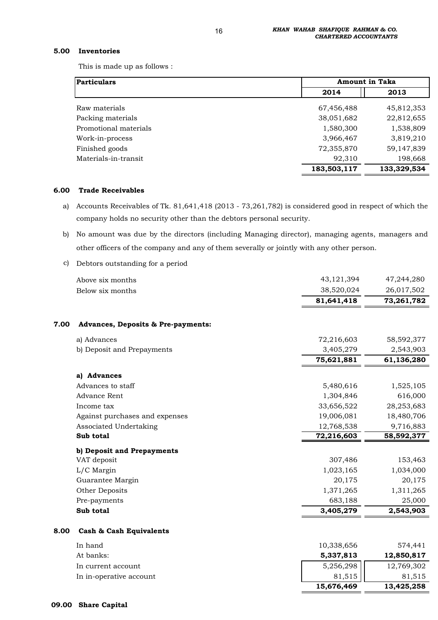#### **5.00 Inventories**

This is made up as follows :

| <b>Particulars</b>    | <b>Amount in Taka</b> |             |
|-----------------------|-----------------------|-------------|
|                       | 2014                  | 2013        |
| Raw materials         | 67,456,488            | 45,812,353  |
| Packing materials     | 38,051,682            | 22,812,655  |
| Promotional materials | 1,580,300             | 1,538,809   |
| Work-in-process       | 3,966,467             | 3,819,210   |
| Finished goods        | 72,355,870            | 59,147,839  |
| Materials-in-transit  | 92,310                | 198,668     |
|                       | 183,503,117           | 133,329,534 |

#### **6.00 Trade Receivables**

 a) Accounts Receivables of Tk. 81,641,418 (2013 - 73,261,782) is considered good in respect of which the company holds no security other than the debtors personal security.

 b) No amount was due by the directors (including Managing director), managing agents, managers and other officers of the company and any of them severally or jointly with any other person.

#### c) Debtors outstanding for a period

|      | Above six months                              | 43,121,394 | 47,244,280 |
|------|-----------------------------------------------|------------|------------|
|      | Below six months                              | 38,520,024 | 26,017,502 |
|      |                                               | 81,641,418 | 73,261,782 |
| 7.00 | <b>Advances, Deposits &amp; Pre-payments:</b> |            |            |
|      | a) Advances                                   | 72,216,603 | 58,592,377 |
|      | b) Deposit and Prepayments                    | 3,405,279  | 2,543,903  |
|      |                                               | 75,621,881 | 61,136,280 |
|      | a) Advances                                   |            |            |
|      | Advances to staff                             | 5,480,616  | 1,525,105  |
|      | <b>Advance Rent</b>                           | 1,304,846  | 616,000    |
|      | Income tax                                    | 33,656,522 | 28,253,683 |
|      | Against purchases and expenses                | 19,006,081 | 18,480,706 |
|      | Associated Undertaking                        | 12,768,538 | 9,716,883  |
|      | Sub total                                     | 72,216,603 | 58,592,377 |
|      | b) Deposit and Prepayments                    |            |            |
|      | VAT deposit                                   | 307,486    | 153,463    |
|      | L/C Margin                                    | 1,023,165  | 1,034,000  |
|      | Guarantee Margin                              | 20,175     | 20,175     |
|      | Other Deposits                                | 1,371,265  | 1,311,265  |
|      | Pre-payments                                  | 683,188    | 25,000     |
|      | Sub total                                     | 3,405,279  | 2,543,903  |
| 8.00 | Cash & Cash Equivalents                       |            |            |
|      | In hand                                       | 10,338,656 | 574,441    |
|      | At banks:                                     | 5,337,813  | 12,850,817 |
|      | In current account                            | 5,256,298  | 12,769,302 |

In in-operative account  $81,515$  81,515

 **13,425,258 15,676,469**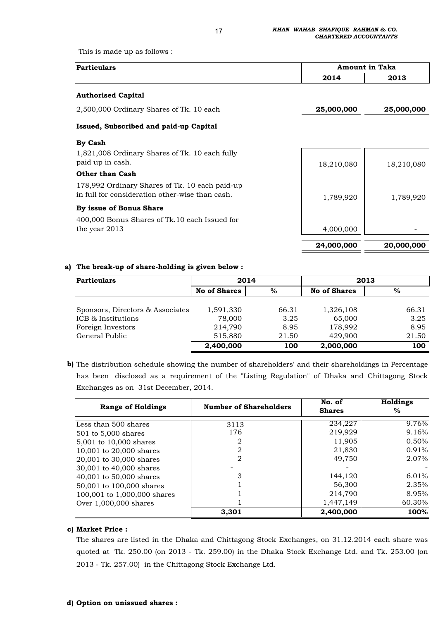This is made up as follows :

| <b>Particulars</b> |      | <b>Amount in Taka</b> |
|--------------------|------|-----------------------|
|                    | 2014 | 2013                  |

#### **Authorised Capital**

2,500,000 Ordinary Shares of Tk. 10 each **25,000,000 25,000,000** 

### **Issued, Subscribed and paid-up Capital**

#### **By Cash**

1,821,008 Ordinary Shares of Tk. 10 each fully paid up in cash.

#### **Other than Cash**

178,992 Ordinary Shares of Tk. 10 each paid-up in full for consideration other-wise than cash.

#### **By issue of Bonus Share**

400,000 Bonus Shares of Tk.10 each Issued for the year 2013

# 18,210,080 | 18,210,080 1,789,920 | 1,789,920 4,000,000 -  **20,000,000 24,000,000**

#### **a) The break-up of share-holding is given below :**

| <b>Particulars</b>               | 2014                |       | 2013                |       |
|----------------------------------|---------------------|-------|---------------------|-------|
|                                  | <b>No of Shares</b> | %     | <b>No of Shares</b> | %     |
|                                  |                     |       |                     |       |
| Sponsors, Directors & Associates | 1,591,330           | 66.31 | 1,326,108           | 66.31 |
| ICB & Institutions               | 78,000              | 3.25  | 65,000              | 3.25  |
| Foreign Investors                | 214,790             | 8.95  | 178,992             | 8.95  |
| General Public                   | 515,880             | 21.50 | 429,900             | 21.50 |
|                                  | 2,400,000           | 100   | 2,000,000           | 100   |

**b)** The distribution schedule showing the number of shareholders' and their shareholdings in Percentage has been disclosed as a requirement of the "Listing Regulation" of Dhaka and Chittagong Stock Exchanges as on 31st December, 2014.

| <b>Range of Holdings</b>    | <b>Number of Shareholders</b> | No. of<br><b>Shares</b> | <b>Holdings</b><br>% |
|-----------------------------|-------------------------------|-------------------------|----------------------|
| Less than 500 shares        | 3113                          | 234,227                 | 9.76%                |
| $501$ to $5,000$ shares     | 176                           | 219,929                 | 9.16%                |
| 5,001 to 10,000 shares      | 2                             | 11,905                  | 0.50%                |
| 10,001 to 20,000 shares     | 2                             | 21,830                  | $0.91\%$             |
| 20,001 to 30,000 shares     | $\mathcal{D}$                 | 49,750                  | 2.07%                |
| 30,001 to 40,000 shares     |                               |                         |                      |
| 40,001 to 50,000 shares     | 3                             | 144,120                 | 6.01%                |
| 50,001 to 100,000 shares    |                               | 56,300                  | 2.35%                |
| 100,001 to 1,000,000 shares |                               | 214,790                 | 8.95%                |
| Over $1,000,000$ shares     |                               | 1,447,149               | 60.30%               |
|                             | 3.301                         | 2,400,000               | 100%                 |

#### **c) Market Price :**

The shares are listed in the Dhaka and Chittagong Stock Exchanges, on 31.12.2014 each share was quoted at Tk. 250.00 (on 2013 - Tk. 259.00) in the Dhaka Stock Exchange Ltd. and Tk. 253.00 (on 2013 - Tk. 257.00) in the Chittagong Stock Exchange Ltd.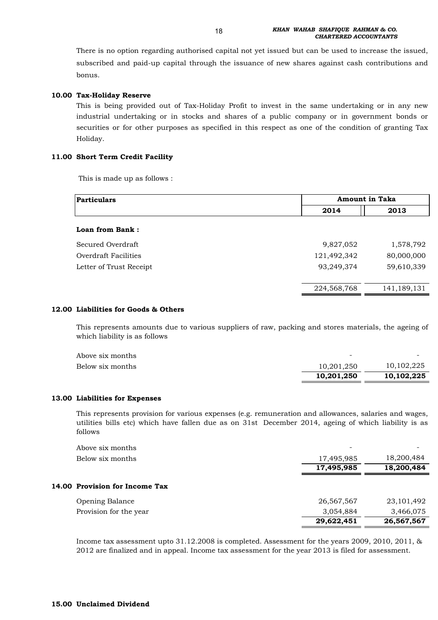There is no option regarding authorised capital not yet issued but can be used to increase the issued, subscribed and paid-up capital through the issuance of new shares against cash contributions and bonus.

#### **10.00 Tax-Holiday Reserve**

This is being provided out of Tax-Holiday Profit to invest in the same undertaking or in any new industrial undertaking or in stocks and shares of a public company or in government bonds or securities or for other purposes as specified in this respect as one of the condition of granting Tax Holiday.

#### **11.00 Short Term Credit Facility**

This is made up as follows :

| <b>Particulars</b>      | <b>Amount in Taka</b> |             |
|-------------------------|-----------------------|-------------|
|                         | 2014                  | 2013        |
| Loan from Bank:         |                       |             |
| Secured Overdraft       | 9,827,052             | 1,578,792   |
| Overdraft Facilities    | 121,492,342           | 80,000,000  |
| Letter of Trust Receipt | 93,249,374            | 59,610,339  |
|                         |                       |             |
|                         | 224,568,768           | 141,189,131 |

#### **12.00 Liabilities for Goods & Others**

This represents amounts due to various suppliers of raw, packing and stores materials, the ageing of which liability is as follows

| Above six months | $\overline{\phantom{0}}$ | $\overline{\phantom{a}}$ |
|------------------|--------------------------|--------------------------|
| Below six months | 10.201.250               | 10,102,225               |
|                  | 10.201.250               | 10.102.225               |

#### **13.00 Liabilities for Expenses**

This represents provision for various expenses (e.g. remuneration and allowances, salaries and wages, utilities bills etc) which have fallen due as on 31st December 2014, ageing of which liability is as follows

|                                | 29,622,451 | 26,567,567 |
|--------------------------------|------------|------------|
| Provision for the year         | 3,054,884  | 3,466,075  |
| <b>Opening Balance</b>         | 26,567,567 | 23,101,492 |
| 14.00 Provision for Income Tax |            |            |
|                                | 17,495,985 | 18,200,484 |
| Below six months               | 17,495,985 | 18,200,484 |
| Above six months               |            |            |

Income tax assessment upto 31.12.2008 is completed. Assessment for the years 2009, 2010, 2011, & 2012 are finalized and in appeal. Income tax assessment for the year 2013 is filed for assessment.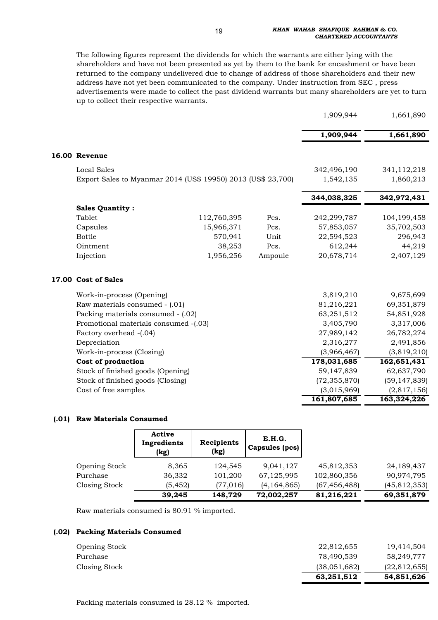The following figures represent the dividends for which the warrants are either lying with the shareholders and have not been presented as yet by them to the bank for encashment or have been returned to the company undelivered due to change of address of those shareholders and their new address have not yet been communicated to the company. Under instruction from SEC , press advertisements were made to collect the past dividend warrants but many shareholders are yet to turn up to collect their respective warrants.

|                           |             |                                                                                                                                                                                         | 1,909,944                                                    | 1,661,890      |
|---------------------------|-------------|-----------------------------------------------------------------------------------------------------------------------------------------------------------------------------------------|--------------------------------------------------------------|----------------|
|                           |             |                                                                                                                                                                                         | 1,909,944                                                    | 1,661,890      |
| 16.00 Revenue             |             |                                                                                                                                                                                         |                                                              |                |
| <b>Local Sales</b>        |             |                                                                                                                                                                                         | 342,496,190                                                  | 341,112,218    |
|                           |             |                                                                                                                                                                                         | 1,542,135                                                    | 1,860,213      |
|                           |             |                                                                                                                                                                                         | 344,038,325                                                  | 342,972,431    |
| <b>Sales Quantity:</b>    |             |                                                                                                                                                                                         |                                                              |                |
| Tablet                    | 112,760,395 | Pcs.                                                                                                                                                                                    | 242,299,787                                                  | 104, 199, 458  |
| Capsules                  | 15,966,371  | Pcs.                                                                                                                                                                                    | 57,853,057                                                   | 35,702,503     |
| <b>Bottle</b>             | 570,941     | Unit                                                                                                                                                                                    | 22,594,523                                                   | 296,943        |
| Ointment                  | 38,253      | Pcs.                                                                                                                                                                                    | 612,244                                                      | 44,219         |
| Injection                 | 1,956,256   | Ampoule                                                                                                                                                                                 | 20,678,714                                                   | 2,407,129      |
| 17.00 Cost of Sales       |             |                                                                                                                                                                                         |                                                              |                |
| Work-in-process (Opening) |             |                                                                                                                                                                                         | 3,819,210                                                    | 9,675,699      |
|                           |             |                                                                                                                                                                                         | 81,216,221                                                   | 69,351,879     |
|                           |             |                                                                                                                                                                                         | 63,251,512                                                   | 54,851,928     |
|                           |             |                                                                                                                                                                                         | 3,405,790                                                    | 3,317,006      |
| Factory overhead -(.04)   |             |                                                                                                                                                                                         | 27,989,142                                                   | 26,782,274     |
| Depreciation              |             |                                                                                                                                                                                         | 2,316,277                                                    | 2,491,856      |
| Work-in-process (Closing) |             |                                                                                                                                                                                         | (3,966,467)                                                  | (3,819,210)    |
| Cost of production        |             |                                                                                                                                                                                         | 178,031,685                                                  | 162,651,431    |
|                           |             |                                                                                                                                                                                         | 59,147,839                                                   | 62,637,790     |
|                           |             |                                                                                                                                                                                         | (72, 355, 870)                                               | (59, 147, 839) |
| Cost of free samples      |             |                                                                                                                                                                                         | (3,015,969)                                                  | (2,817,156)    |
|                           |             |                                                                                                                                                                                         | 161,807,685                                                  | 163,324,226    |
|                           |             | Raw materials consumed - (.01)<br>Packing materials consumed - (.02)<br>Promotional materials consumed -(.03)<br>Stock of finished goods (Opening)<br>Stock of finished goods (Closing) | Export Sales to Myanmar 2014 (US\$ 19950) 2013 (US\$ 23,700) |                |

#### **(.01) Raw Materials Consumed**

|                      | Active<br>Ingredients<br>(kg) | Recipients<br>(kg) | E.H.G.<br>Capsules (pcs) |                |                |
|----------------------|-------------------------------|--------------------|--------------------------|----------------|----------------|
| <b>Opening Stock</b> | 8,365                         | 124,545            | 9,041,127                | 45,812,353     | 24,189,437     |
| Purchase             | 36,332                        | 101,200            | 67,125,995               | 102,860,356    | 90,974,795     |
| Closing Stock        | (5, 452)                      | (77, 016)          | (4, 164, 865)            | (67, 456, 488) | (45, 812, 353) |
|                      | 39,245                        | 148,729            | 72,002,257               | 81,216,221     | 69,351,879     |

Raw materials consumed is 80.91 % imported.

#### **(.02) Packing Materials Consumed**

|                      | 63,251,512   | 54,851,626     |
|----------------------|--------------|----------------|
| Closing Stock        | (38,051,682) | (22, 812, 655) |
| Purchase             | 78,490,539   | 58.249.777     |
| <b>Opening Stock</b> | 22,812,655   | 19,414,504     |
|                      |              |                |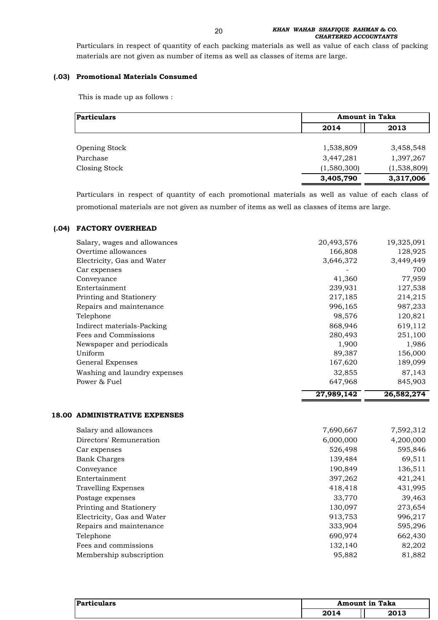Particulars in respect of quantity of each packing materials as well as value of each class of packing materials are not given as number of items as well as classes of items are large.

### **(.03) Promotional Materials Consumed**

This is made up as follows :

| Particulars   |             | <b>Amount in Taka</b> |  |
|---------------|-------------|-----------------------|--|
|               | 2014        | 2013                  |  |
|               |             |                       |  |
| Opening Stock | 1,538,809   | 3,458,548             |  |
| Purchase      | 3,447,281   | 1,397,267             |  |
| Closing Stock | (1,580,300) | (1,538,809)           |  |
|               | 3,405,790   | 3,317,006             |  |

Particulars in respect of quantity of each promotional materials as well as value of each class of promotional materials are not given as number of items as well as classes of items are large.

#### **(.04) FACTORY OVERHEAD**

|                              | 27,989,142 | 26,582,274 |
|------------------------------|------------|------------|
| Power & Fuel                 | 647,968    | 845,903    |
| Washing and laundry expenses | 32,855     | 87,143     |
| General Expenses             | 167,620    | 189,099    |
| Uniform                      | 89,387     | 156,000    |
| Newspaper and periodicals    | 1,900      | 1,986      |
| Fees and Commissions         | 280,493    | 251,100    |
| Indirect materials-Packing   | 868,946    | 619,112    |
| Telephone                    | 98,576     | 120,821    |
| Repairs and maintenance      | 996,165    | 987,233    |
| Printing and Stationery      | 217,185    | 214,215    |
| Entertainment                | 239,931    | 127,538    |
| Conveyance                   | 41,360     | 77,959     |
| Car expenses                 |            | 700        |
| Electricity, Gas and Water   | 3,646,372  | 3,449,449  |
| Overtime allowances          | 166,808    | 128,925    |
| Salary, wages and allowances | 20,493,576 | 19,325,091 |

#### **18.00 ADMINISTRATIVE EXPENSES**

| Salary and allowances      | 7,690,667 | 7,592,312 |
|----------------------------|-----------|-----------|
| Directors' Remuneration    | 6,000,000 | 4,200,000 |
| Car expenses               | 526,498   | 595,846   |
| <b>Bank Charges</b>        | 139,484   | 69,511    |
| Conveyance                 | 190,849   | 136,511   |
| Entertainment              | 397,262   | 421,241   |
| <b>Travelling Expenses</b> | 418,418   | 431,995   |
| Postage expenses           | 33,770    | 39,463    |
| Printing and Stationery    | 130,097   | 273,654   |
| Electricity, Gas and Water | 913,753   | 996,217   |
| Repairs and maintenance    | 333,904   | 595,296   |
| Telephone                  | 690,974   | 662,430   |
| Fees and commissions       | 132,140   | 82,202    |
| Membership subscription    | 95,882    | 81,882    |

| חו<br><b>dars</b> | <b>Amount in Taka</b> |      |
|-------------------|-----------------------|------|
|                   | 2014                  | 2013 |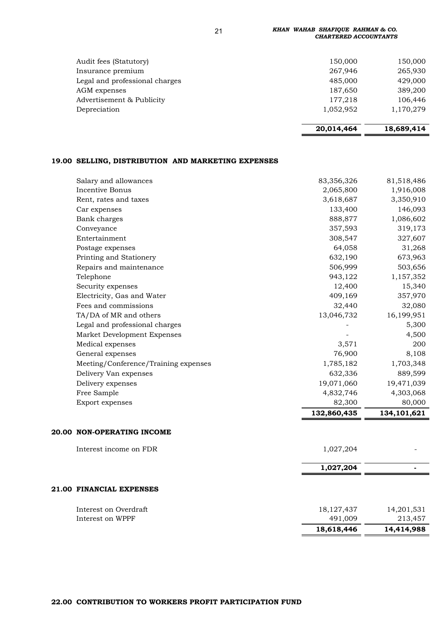21 *KHAN WAHAB SHAFIQUE RAHMAN & CO. CHARTERED ACCOUNTANTS*

| Audit fees (Statutory)         | 150,000   | 150,000   |
|--------------------------------|-----------|-----------|
| Insurance premium              | 267,946   | 265,930   |
| Legal and professional charges | 485,000   | 429,000   |
| AGM expenses                   | 187,650   | 389,200   |
| Advertisement & Publicity      | 177,218   | 106,446   |
| Depreciation                   | 1,052,952 | 1,170,279 |
|                                |           |           |

| 20,014,464 | 18,689,414 |
|------------|------------|
|------------|------------|

### **19.00 SELLING, DISTRIBUTION AND MARKETING EXPENSES**

|                                          | 18,618,446              | 14,414,988              |
|------------------------------------------|-------------------------|-------------------------|
| Interest on WPPF                         | 491,009                 | 213,457                 |
| Interest on Overdraft                    | 18, 127, 437            | 14,201,531              |
| 21.00 FINANCIAL EXPENSES                 |                         |                         |
|                                          |                         |                         |
|                                          | 1,027,204               |                         |
| Interest income on FDR                   | 1,027,204               |                         |
| 20.00 NON-OPERATING INCOME               |                         |                         |
|                                          | 132,860,435             | 134, 101, 621           |
| Export expenses                          | 82,300                  | 80,000                  |
| Free Sample                              | 4,832,746               | 4,303,068               |
| Delivery expenses                        | 19,071,060              | 19,471,039              |
| Delivery Van expenses                    | 632,336                 | 889,599                 |
| Meeting/Conference/Training expenses     | 1,785,182               | 1,703,348               |
| General expenses                         | 76,900                  | 8,108                   |
| Medical expenses                         | 3,571                   | 200                     |
| Market Development Expenses              |                         | 4,500                   |
| Legal and professional charges           |                         | 5,300                   |
| TA/DA of MR and others                   | 13,046,732              | 16,199,951              |
| Fees and commissions                     | 32,440                  | 32,080                  |
| Electricity, Gas and Water               | 409,169                 | 357,970                 |
| Security expenses                        | 12,400                  | 15,340                  |
| Telephone                                | 943,122                 | 1,157,352               |
| Repairs and maintenance                  | 506,999                 | 503,656                 |
| Printing and Stationery                  | 632,190                 | 673,963                 |
| Postage expenses                         | 64,058                  | 31,268                  |
| Entertainment                            | 308,547                 | 327,607                 |
| Conveyance                               | 357,593                 | 319,173                 |
| Bank charges                             | 888,877                 | 1,086,602               |
| Car expenses                             | 133,400                 | 146,093                 |
| Rent, rates and taxes                    | 3,618,687               | 3,350,910               |
| Salary and allowances<br>Incentive Bonus | 83,356,326<br>2,065,800 | 81,518,486<br>1,916,008 |
|                                          |                         |                         |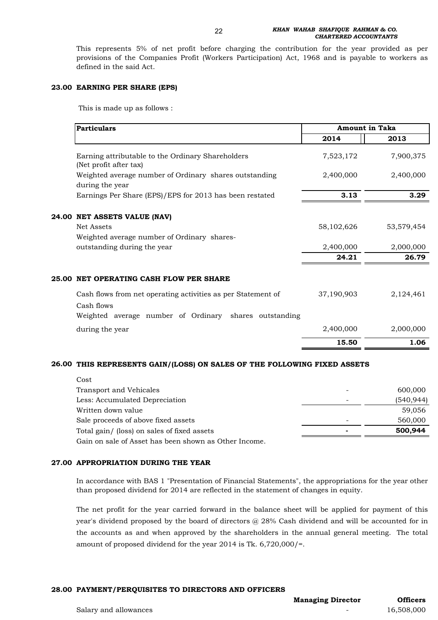This represents 5% of net profit before charging the contribution for the year provided as per provisions of the Companies Profit (Workers Participation) Act, 1968 and is payable to workers as defined in the said Act.

#### **23.00 EARNING PER SHARE (EPS)**

This is made up as follows :

| <b>Particulars</b>                                                                                                                   |            | <b>Amount in Taka</b> |  |
|--------------------------------------------------------------------------------------------------------------------------------------|------------|-----------------------|--|
|                                                                                                                                      | 2014       | 2013                  |  |
| Earning attributable to the Ordinary Shareholders<br>(Net profit after tax)                                                          | 7,523,172  | 7,900,375             |  |
| Weighted average number of Ordinary shares outstanding<br>during the year                                                            | 2,400,000  | 2,400,000             |  |
| Earnings Per Share (EPS)/EPS for 2013 has been restated                                                                              | 3.13       | 3.29                  |  |
| 24.00<br><b>NET ASSETS VALUE (NAV)</b>                                                                                               |            |                       |  |
| <b>Net Assets</b>                                                                                                                    | 58,102,626 | 53,579,454            |  |
| Weighted average number of Ordinary shares-                                                                                          |            |                       |  |
| outstanding during the year                                                                                                          | 2,400,000  | 2,000,000             |  |
|                                                                                                                                      | 24.21      | 26.79                 |  |
| 25.00 NET OPERATING CASH FLOW PER SHARE                                                                                              |            |                       |  |
| Cash flows from net operating activities as per Statement of<br>Cash flows<br>Weighted average number of Ordinary shares outstanding | 37,190,903 | 2,124,461             |  |
| during the year                                                                                                                      | 2,400,000  | 2,000,000             |  |
|                                                                                                                                      |            |                       |  |
|                                                                                                                                      | 15.50      | 1.06                  |  |

#### **26.00 THIS REPRESENTS GAIN/(LOSS) ON SALES OF THE FOLLOWING FIXED ASSETS**

| Cost                                                  |                          |            |
|-------------------------------------------------------|--------------------------|------------|
| Transport and Vehicales                               |                          | 600,000    |
| Less: Accumulated Depreciation                        | $\overline{\phantom{0}}$ | (540, 944) |
| Written down value                                    |                          | 59,056     |
| Sale proceeds of above fixed assets                   | $\qquad \qquad$          | 560,000    |
| Total gain/ (loss) on sales of fixed assets           |                          | 500,944    |
| Gain on sale of Asset has been shown as Other Income. |                          |            |

#### **27.00 APPROPRIATION DURING THE YEAR**

In accordance with BAS 1 "Presentation of Financial Statements", the appropriations for the year other than proposed dividend for 2014 are reflected in the statement of changes in equity.

The net profit for the year carried forward in the balance sheet will be applied for payment of this year's dividend proposed by the board of directors @ 28% Cash dividend and will be accounted for in the accounts as and when approved by the shareholders in the annual general meeting. The total amount of proposed dividend for the year 2014 is Tk. 6,720,000/=.

#### **28.00 PAYMENT/PERQUISITES TO DIRECTORS AND OFFICERS**

**Managing Director**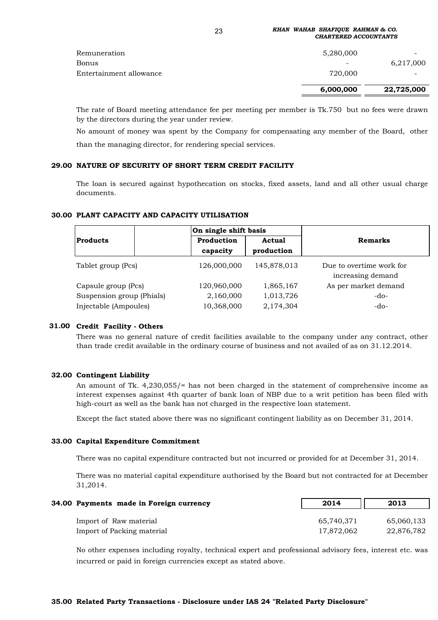#### 23 *KHAN WAHAB SHAFIQUE RAHMAN & CO. CHARTERED ACCOUNTANTS*

| Remuneration<br>Bonus<br>Entertainment allowance | 5,280,000<br>$\overline{\phantom{0}}$<br>720,000 | $\overline{\phantom{0}}$<br>6,217,000 |
|--------------------------------------------------|--------------------------------------------------|---------------------------------------|
|                                                  | 6,000,000                                        | 22,725,000                            |

The rate of Board meeting attendance fee per meeting per member is Tk.750 but no fees were drawn by the directors during the year under review.

No amount of money was spent by the Company for compensating any member of the Board, other than the managing director, for rendering special services.

#### **29.00 NATURE OF SECURITY OF SHORT TERM CREDIT FACILITY**

The loan is secured against hypothecation on stocks, fixed assets, land and all other usual charge documents.

#### **30.00 PLANT CAPACITY AND CAPACITY UTILISATION**

|                           | On single shift basis  |                             |                                               |  |
|---------------------------|------------------------|-----------------------------|-----------------------------------------------|--|
| <b>Products</b>           | Production<br>capacity | <b>Actual</b><br>production | <b>Remarks</b>                                |  |
| Tablet group (Pcs)        | 126,000,000            | 145,878,013                 | Due to overtime work for<br>increasing demand |  |
| Capsule group (Pcs)       | 120,960,000            | 1,865,167                   | As per market demand                          |  |
| Suspension group (Phials) | 2,160,000              | 1,013,726                   | $-do-$                                        |  |
| Injectable (Ampoules)     | 10,368,000             | 2,174,304                   | $-do-$                                        |  |

#### **31.00 Credit Facility - Others**

There was no general nature of credit facilities available to the company under any contract, other than trade credit available in the ordinary course of business and not availed of as on 31.12.2014.

#### **32.00 Contingent Liability**

An amount of Tk. 4,230,055/= has not been charged in the statement of comprehensive income as interest expenses against 4th quarter of bank loan of NBP due to a writ petition has been filed with high-court as well as the bank has not charged in the respective loan statement.

Except the fact stated above there was no significant contingent liability as on December 31, 2014.

#### **33.00 Capital Expenditure Commitment**

There was no capital expenditure contracted but not incurred or provided for at December 31, 2014.

There was no material capital expenditure authorised by the Board but not contracted for at December 31,2014.

| 34.00 Payments made in Foreign currency | 2014       | 2013       |
|-----------------------------------------|------------|------------|
| Import of Raw material                  | 65,740,371 | 65,060,133 |
| Import of Packing material              | 17,872,062 | 22,876,782 |

No other expenses including royalty, technical expert and professional advisory fees, interest etc. was incurred or paid in foreign currencies except as stated above.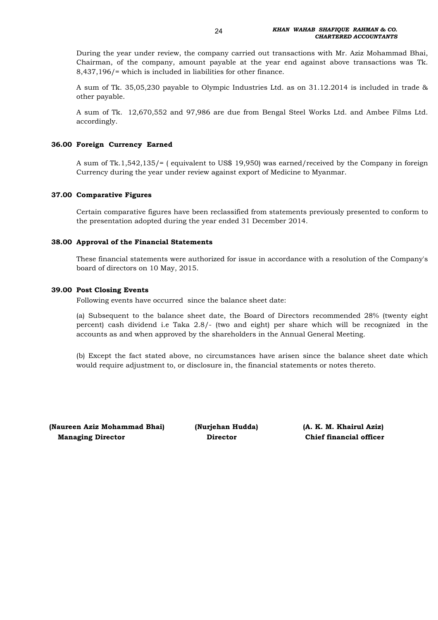During the year under review, the company carried out transactions with Mr. Aziz Mohammad Bhai, Chairman, of the company, amount payable at the year end against above transactions was Tk. 8,437,196/= which is included in liabilities for other finance.

A sum of Tk. 35,05,230 payable to Olympic Industries Ltd. as on 31.12.2014 is included in trade & other payable.

A sum of Tk. 12,670,552 and 97,986 are due from Bengal Steel Works Ltd. and Ambee Films Ltd. accordingly.

#### **36.00 Foreign Currency Earned**

A sum of Tk.1,542,135/= ( equivalent to US\$ 19,950) was earned/received by the Company in foreign Currency during the year under review against export of Medicine to Myanmar.

#### **37.00 Comparative Figures**

Certain comparative figures have been reclassified from statements previously presented to conform to the presentation adopted during the year ended 31 December 2014.

#### **38.00 Approval of the Financial Statements**

These financial statements were authorized for issue in accordance with a resolution of the Company's board of directors on 10 May, 2015.

#### **39.00 Post Closing Events**

Following events have occurred since the balance sheet date:

(a) Subsequent to the balance sheet date, the Board of Directors recommended 28% (twenty eight percent) cash dividend i.e Taka 2.8/- (two and eight) per share which will be recognized in the accounts as and when approved by the shareholders in the Annual General Meeting.

(b) Except the fact stated above, no circumstances have arisen since the balance sheet date which would require adjustment to, or disclosure in, the financial statements or notes thereto.

**(Naureen Aziz Mohammad Bhai) (Nurjehan Hudda) (A. K. M. Khairul Aziz) Managing Director**

 **Director Chief financial officer**